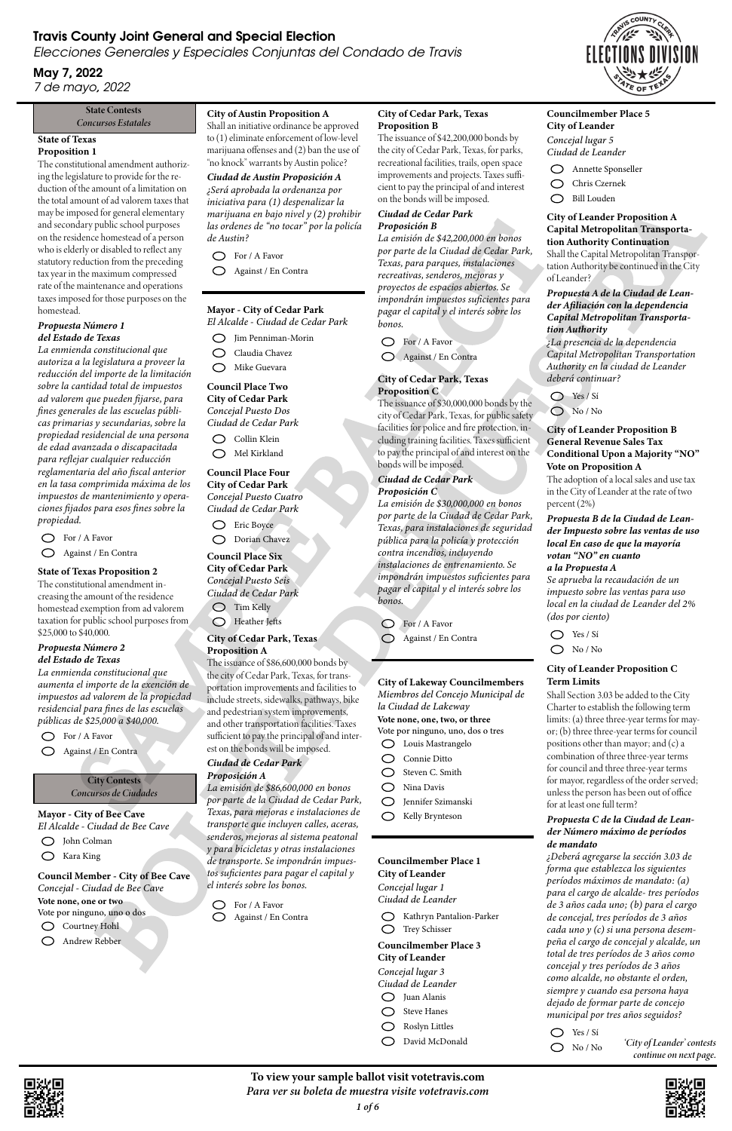# State of Texas

#### Proposition 1

The constitutional amendment authorizing the legislature to provide for the reduction of the amount of a limitation on the total amount of ad valorem taxes that may be imposed for general elementary and secondary public school purposes on the residence homestead of a person who is elderly or disabled to reflect any statutory reduction from the preceding tax year in the maximum compressed rate of the maintenance and operations taxes imposed for those purposes on the homestead.

*La enmienda constitucional que autoriza a la legislatura a proveer la reducción del importe de la limitación sobre la cantidad total de impuestos ad valorem que pueden fijarse, para fines generales de las escuelas públicas primarias y secundarias, sobre la propiedad residencial de una persona de edad avanzada o discapacitada para reflejar cualquier reducción reglamentaria del año fiscal anterior en la tasa comprimida máxima de los impuestos de mantenimiento y operaciones fijados para esos fines sobre la propiedad.* dry problem and one of the state of the results of the state of the state of the state of the state of the state of the control of the state of the control of the state of the control of the control of the control of the

#### *Propuesta Número 1 del Estado de Texas*

**City Contests** *Concursos de Ciudades*

 $\bigcirc$ Kara King

Andrew Rebber  $\bigcirc$ 

# Travis County Joint General and Special Election

Elecciones Generales y Especiales Conjuntas del Condado de Travis

For / A Favor  $\bigcirc$ Against / En Contra

## May 7, 2022 7 de mayo, 2022

#### State Contests *Concursos Estatales*

City of Cedar Park *Concejal Puesto Seis Ciudad de Cedar Park*  $\bigcirc$  Tim Kelly

State of Texas Proposition 2 The constitutional amendment increasing the amount of the residence homestead exemption from ad valorem taxation for public school purposes from \$25,000 to \$40,000.

#### *Propuesta Número 2 del Estado de Texas*

*La enmienda constitucional que aumenta el importe de la exención de impuestos ad valorem de la propiedad residencial para fines de las escuelas públicas de \$25,000 a \$40,000.*

For / A Favor

Against / En Contra

Mayor - City of Bee Cave *El Alcalde - Ciudad de Bee Cave*

John Colman

Council Member - City of Bee Cave *Concejal - Ciudad de Bee Cave*

Courtney Hohl

Vote none, one or two Vote por ninguno, uno o dos

#### City of Austin Proposition A

Shall an initiative ordinance be approved to (1) eliminate enforcement of low-level marijuana offenses and (2) ban the use of "no knock" warrants by Austin police?

*Ciudad de Austin Proposición A ¿Será aprobada la ordenanza por iniciativa para (1) despenalizar la marijuana en bajo nivel y (2) prohibir las ordenes de "no tocar" por la policía de Austin?*

For / A Favor

Against / En Contra

#### Mayor - City of Cedar Park

*El Alcalde - Ciudad de Cedar Park*

Jim Penniman-Morin

- Claudia Chavez
- Mike Guevara

#### Council Place Two City of Cedar Park

*Concejal Puesto Dos Ciudad de Cedar Park*

 $\bigcirc$  Collin Klein

Councilmember Place 3 City of Leander *Concejal lugar 3 Ciudad de Leander* Juan Alanis  $\bigcirc$ Steve Hanes Roslyn Littles  $\bigcirc$ 

Mel Kirkland

Council Place Four City of Cedar Park *Concejal Puesto Cuatro Ciudad de Cedar Park*

Eric Boyce

Dorian Chavez

- $\bigcirc$ Chris Czernek
- Bill Louden

Council Place Six

Heather Jefts

#### City of Cedar Park, Texas Proposition A

The issuance of \$86,600,000 bonds by the city of Cedar Park, Texas, for transportation improvements and facilities to include streets, sidewalks, pathways, bike and pedestrian system improvements, and other transportation facilities. Taxes sufficient to pay the principal of and interest on the bonds will be imposed.

#### *Ciudad de Cedar Park Proposición A*

*La emisión de \$86,600,000 en bonos por parte de la Ciudad de Cedar Park, Texas, para mejoras e instalaciones de transporte que incluyen calles, aceras, senderos, mejoras al sistema peatonal y para bicicletas y otras instalaciones de transporte. Se impondrán impuestos suficientes para pagar el capital y el interés sobre los bonos.*

*¿Deberá agregarse la sección 3.03 de forma que establezca los siguientes períodos máximos de mandato: (a) para el cargo de alcalde- tres períodos de 3 años cada uno; (b) para el cargo de concejal, tres períodos de 3 años cada uno y (c) si una persona desempeña el cargo de concejal y alcalde, un total de tres períodos de 3 años como concejal y tres períodos de 3 años como alcalde, no obstante el orden, siempre y cuando esa persona haya dejado de formar parte de concejo municipal por tres años seguidos?* Experimental measure of the state of the state of the state of the state of the state of the state of the state of the state of the state of the state of the state of the state of the state of the state of the state of th

 $\bigcirc$  Yes / Sí

 $\bigcirc$  No / No

For / A Favor Against / En Contra

#### City of Cedar Park, Texas Proposition B

The issuance of \$42,200,000 bonds by the city of Cedar Park, Texas, for parks, recreational facilities, trails, open space improvements and projects. Taxes sufficient to pay the principal of and interest on the bonds will be imposed.

#### *Ciudad de Cedar Park Proposición B*

*La emisión de \$42,200,000 en bonos por parte de la Ciudad de Cedar Park, Texas, para parques, instalaciones recreativas, senderos, mejoras y proyectos de espacios abiertos. Se impondrán impuestos suficientes para pagar el capital y el interés sobre los bonos.*

For / A Favor

Against / En Contra

#### City of Cedar Park, Texas Proposition C

The issuance of \$30,000,000 bonds by the city of Cedar Park, Texas, for public safety facilities for police and fire protection, including training facilities. Taxes sufficient to pay the principal of and interest on the bonds will be imposed.

#### *Ciudad de Cedar Park Proposición C*

*La emisión de \$30,000,000 en bonos por parte de la Ciudad de Cedar Park, Texas, para instalaciones de seguridad pública para la policía y protección contra incendios, incluyendo instalaciones de entrenamiento. Se impondrán impuestos suficientes para pagar el capital y el interés sobre los bonos.*

For / A Favor

Against / En Contra

#### City of Lakeway Councilmembers *Miembros del Concejo Municipal de*

*la Ciudad de Lakeway* Vote none, one, two, or three

Vote por ninguno, uno, dos o tres

- Louis Mastrangelo
- Connie Ditto
- Steven C. Smith
- Nina Davis
- Jennifer Szimanski
- Kelly Brynteson

Councilmember Place 1 City of Leander

*Concejal lugar 1 Ciudad de Leander*

Kathryn Pantalion-Parker Trey Schisser

David McDonald

#### Councilmember Place 5 City of Leander *Concejal lugar 5 Ciudad de Leander*

Annette Sponseller

#### City of Leander Proposition A Capital Metropolitan Transportation Authority Continuation Shall the Capital Metropolitan Transportation Authority be continued in the City of Leander?

#### *Propuesta A de la Ciudad de Leander Afiliación con la dependencia Capital Metropolitan Transportation Authority*

*¿La presencia de la dependencia Capital Metropolitan Transportation Authority en la ciudad de Leander deberá continuar?*



No / No

#### City of Leander Proposition B General Revenue Sales Tax Conditional Upon a Majority "NO" Vote on Proposition A

The adoption of a local sales and use tax in the City of Leander at the rate of two percent (2%)

#### *Propuesta B de la Ciudad de Leander Impuesto sobre las ventas de uso local En caso de que la mayoría votan "NO" en cuanto a la Propuesta A*

*Se aprueba la recaudación de un impuesto sobre las ventas para uso local en la ciudad de Leander del 2% (dos por ciento)*

- Yes / Sí
- No / No

#### City of Leander Proposition C Term Limits

Shall Section 3.03 be added to the City Charter to establish the following term limits: (a) three three-year terms for mayor; (b) three three-year terms for council positions other than mayor; and (c) a combination of three three-year terms for council and three three-year terms for mayor, regardless of the order served; unless the person has been out of office for at least one full term?

*Propuesta C de la Ciudad de Leander Número máximo de períodos de mandato*





To view your sample ballot visit votetravis.com *Para ver su boleta de muestra visite votetravis.com*



*'City of Leander' contests continue on next page.*

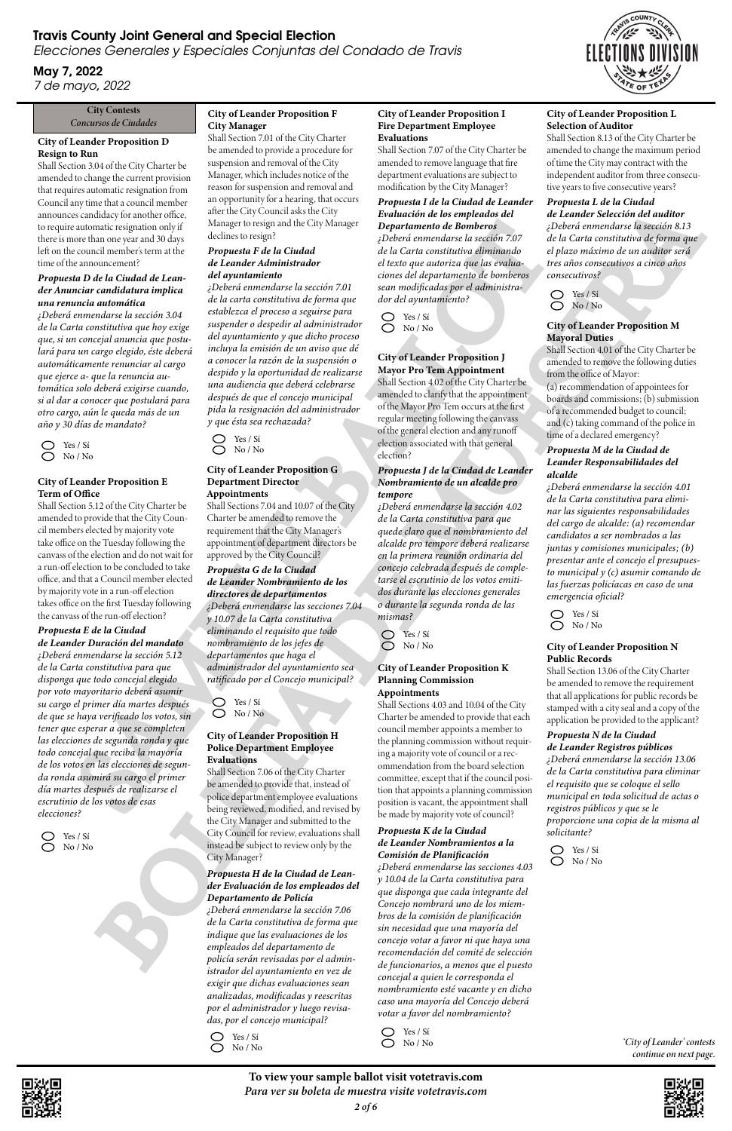#### City Contests *Concursos de Ciudades*

#### City of Leander Proposition D Resign to Run

Shall Section 3.04 of the City Charter be amended to change the current provision that requires automatic resignation from Council any time that a council member announces candidacy for another office, to require automatic resignation only if there is more than one year and 30 days left on the council member's term at the time of the announcement?

 $\bigcirc$ Yes / Sí  $\bigcirc$ No / No

#### *Propuesta D de la Ciudad de Leander Anunciar candidatura implica una renuncia automática*

*¿Deberá enmendarse la sección 3.04 de la Carta constitutiva que hoy exige que, si un concejal anuncia que postulará para un cargo elegido, éste deberá automáticamente renunciar al cargo que ejerce a- que la renuncia automática solo deberá exigirse cuando, si al dar a conocer que postulará para otro cargo, aún le queda más de un año y 30 días de mandato?*

# Travis County Joint General and Special Election

Elecciones Generales y Especiales Conjuntas del Condado de Travis

May 7, 2022 7 de mayo, 2022

8 Yes / Sí No / No

#### City of Leander Proposition E Term of Office

*¿Deberá enmendarse la sección 7.01 de la carta constitutiva de forma que establezca el proceso a seguirse para suspender o despedir al administrador del ayuntamiento y que dicho proceso incluya la emisión de un aviso que dé a conocer la razón de la suspensión o despido y la oportunidad de realizarse una audiencia que deberá celebrarse después de que el concejo municipal pida la resignación del administrador y que ésta sea rechazada?* attention consistention of the large in equiparation of the material exploration of the state of the contrast of the contrast of the contrast of the contrast of the contrast of the contrast of the contrast of the contrast Let the contrast of the contrast of the contrast of the contrast of the contrast of the contrast of the contrast of the contrast of the contrast of the contrast of the contrast of the contrast of the contrast of the contr

Shall Section 5.12 of the City Charter be amended to provide that the City Council members elected by majority vote take office on the Tuesday following the canvass of the election and do not wait for a run-off election to be concluded to take office, and that a Council member elected by majority vote in a run-off election takes office on the first Tuesday following the canvass of the run-off election?

#### *Propuesta E de la Ciudad*

*de Leander Duración del mandato ¿Deberá enmendarse la sección 5.12 de la Carta constitutiva para que disponga que todo concejal elegido por voto mayoritario deberá asumir su cargo el primer día martes después de que se haya verificado los votos, sin tener que esperar a que se completen las elecciones de segunda ronda y que todo concejal que reciba la mayoría de los votos en las elecciones de segunda ronda asumirá su cargo el primer día martes después de realizarse el escrutinio de los votos de esas elecciones?*

#### City of Leander Proposition F City Manager

Yes / Sí  $\bigcirc$  No / No

Shall Section 7.01 of the City Charter be amended to provide a procedure for suspension and removal of the City Manager, which includes notice of the reason for suspension and removal and an opportunity for a hearing, that occurs after the City Council asks the City Manager to resign and the City Manager declines to resign?

> Yes / Sí O No/No

#### *Propuesta F de la Ciudad de Leander Administrador del ayuntamiento*

Yes / Sí No / No

#### City of Leander Proposition G Department Director Appointments

Shall Sections 7.04 and 10.07 of the City Charter be amended to remove the requirement that the City Manager's appointment of department directors be approved by the City Council?

> $\bigcirc$  Yes / Si No / No

 $\bigcirc$ 



*Propuesta G de la Ciudad de Leander Nombramiento de los directores de departamentos ¿Deberá enmendarse las secciones 7.04 y 10.07 de la Carta constitutiva eliminando el requisito que todo nombramiento de los jefes de departamentos que haga el administrador del ayuntamiento sea ratificado por el Concejo municipal?*

Yes / Sí No / No

#### City of Leander Proposition H Police Department Employee Evaluations

Shall Section 7.06 of the City Charter be amended to provide that, instead of police department employee evaluations being reviewed, modified, and revised by the City Manager and submitted to the City Council for review, evaluations shall instead be subject to review only by the City Manager?

*Propuesta H de la Ciudad de Leander Evaluación de los empleados del Departamento de Policía*

*¿Deberá enmendarse la sección 7.06 de la Carta constitutiva de forma que indique que las evaluaciones de los empleados del departamento de policía serán revisadas por el administrador del ayuntamiento en vez de exigir que dichas evaluaciones sean analizadas, modificadas y reescritas por el administrador y luego revisadas, por el concejo municipal?*

#### City of Leander Proposition I Fire Department Employee Evaluations

Shall Section 7.07 of the City Charter be amended to remove language that fire department evaluations are subject to modification by the City Manager?

#### *Propuesta I de la Ciudad de Leander Evaluación de los empleados del Departamento de Bomberos*

*¿Deberá enmendarse la sección 7.07 de la Carta constitutiva eliminando el texto que autoriza que las evaluaciones del departamento de bomberos sean modificadas por el administrador del ayuntamiento?*

#### City of Leander Proposition J Mayor Pro Tem Appointment

Shall Section 4.02 of the City Charter be amended to clarify that the appointment of the Mayor Pro Tem occurs at the first regular meeting following the canvass of the general election and any runoff election associated with that general election?

#### *Propuesta J de la Ciudad de Leander Nombramiento de un alcalde pro tempore*

*¿Deberá enmendarse la sección 4.02 de la Carta constitutiva para que quede claro que el nombramiento del alcalde pro tempore deberá realizarse en la primera reunión ordinaria del concejo celebrada después de completarse el escrutinio de los votos emitidos durante las elecciones generales o durante la segunda ronda de las mismas?*

Yes / Sí No / No

#### City of Leander Proposition K Planning Commission Appointments

Shall Sections 4.03 and 10.04 of the City Charter be amended to provide that each council member appoints a member to the planning commission without requiring a majority vote of council or a recommendation from the board selection committee, except that if the council position that appoints a planning commission position is vacant, the appointment shall be made by majority vote of council?

#### *Propuesta K de la Ciudad*

*de Leander Nombramientos a la Comisión de Planificación*

*¿Deberá enmendarse las secciones 4.03 y 10.04 de la Carta constitutiva para que disponga que cada integrante del Concejo nombrará uno de los miembros de la comisión de planificación sin necesidad que una mayoría del concejo votar a favor ni que haya una recomendación del comité de selección de funcionarios, a menos que el puesto concejal a quien le corresponda el nombramiento esté vacante y en dicho caso una mayoría del Concejo deberá votar a favor del nombramiento?*

 $\bigcirc$  Yes / Sí  $\bigcirc$  No / No

# City of Leander Proposition L

Selection of Auditor Shall Section 8.13 of the City Charter be amended to change the maximum period of time the City may contract with the independent auditor from three consecutive years to five consecutive years?

#### *Propuesta L de la Ciudad*

*de Leander Selección del auditor ¿Deberá enmendarse la sección 8.13 de la Carta constitutiva de forma que el plazo máximo de un auditor será tres años consecutivos a cinco años consecutivos?*

Yes / Sí No / No

#### City of Leander Proposition M Mayoral Duties

Shall Section 4.01 of the City Charter be amended to remove the following duties from the office of Mayor:

(a) recommendation of appointees for boards and commissions; (b) submission of a recommended budget to council; and (c) taking command of the police in time of a declared emergency?

#### *Propuesta M de la Ciudad de Leander Responsabilidades del alcalde*

*¿Deberá enmendarse la sección 4.01 de la Carta constitutiva para eliminar las siguientes responsabilidades del cargo de alcalde: (a) recomendar candidatos a ser nombrados a las juntas y comisiones municipales; (b) presentar ante el concejo el presupuesto municipal y (c) asumir comando de las fuerzas policíacas en caso de una emergencia oficial?*

Yes / Sí No / No

To view your sample ballot visit votetravis.com *Para ver su boleta de muestra visite votetravis.com*

*2 of 6*

#### City of Leander Proposition N Public Records

Shall Section 13.06 of the City Charter be amended to remove the requirement that all applications for public records be stamped with a city seal and a copy of the application be provided to the applicant?

# *Propuesta N de la Ciudad*

*de Leander Registros públicos ¿Deberá enmendarse la sección 13.06 de la Carta constitutiva para eliminar el requisito que se coloque el sello municipal en toda solicitud de actas o registros públicos y que se le proporcione una copia de la misma al solicitante?*



*'City of Leander' contests continue on next page.*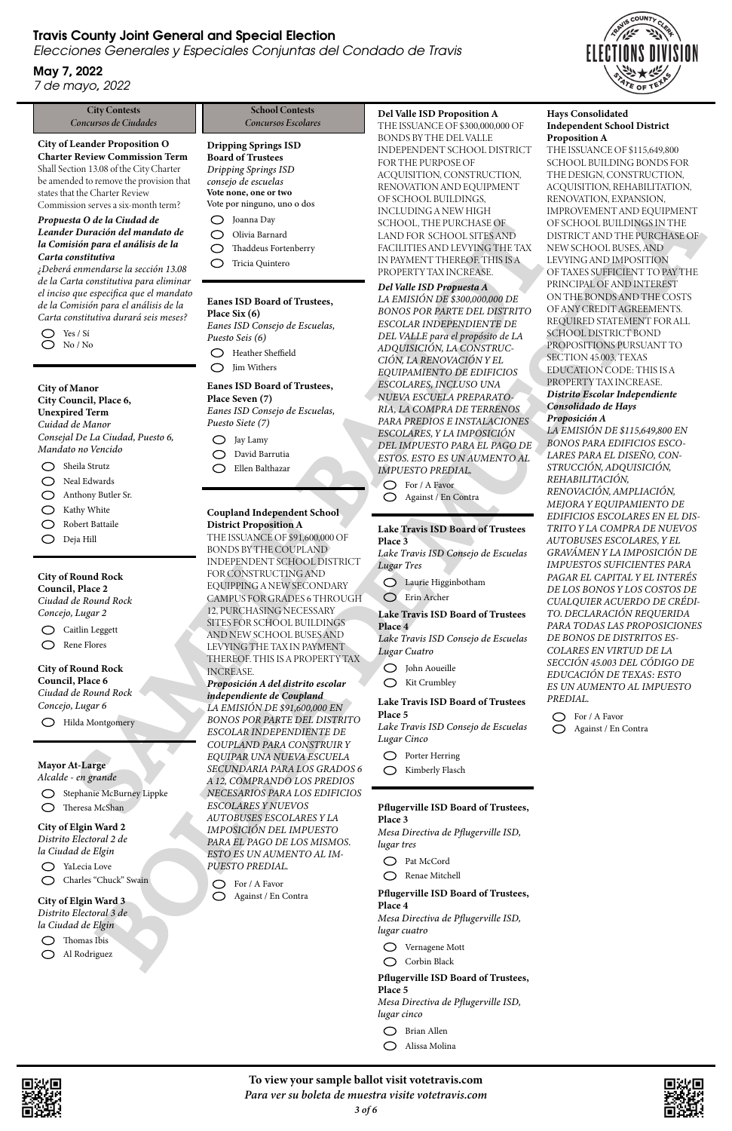#### City Contests *Concursos de Ciudades*

# Travis County Joint General and Special Election

Elecciones Generales y Especiales Conjuntas del Condado de Travis

# May 7, 2022

7 de mayo, 2022

City of Leander Proposition O Charter Review Commission Term Shall Section 13.08 of the City Charter be amended to remove the provision that states that the Charter Review

Commission serves a six-month term?

Sheila Strutz  $\bigcirc$ 

Neal Edwards  $\bigcirc$ 

- $\bigcirc$ Anthony Butler Sr.
- Kathy White  $\bigcirc$
- Robert Battaile  $\bigcirc$
- Deja Hill  $\bigcirc$

#### *Propuesta O de la Ciudad de Leander Duración del mandato de la Comisión para el análisis de la Carta constitutiva*

*¿Deberá enmendarse la sección 13.08 de la Carta constitutiva para eliminar el inciso que especifica que el mandato de la Comisión para el análisis de la Carta constitutiva durará seis meses?*



#### City of Manor City Council, Place 6, Unexpired Term *Cuidad de Manor Consejal De La Ciudad, Puesto 6, Mandato no Vencido*

#### City of Round Rock

Council, Place 2 *Ciudad de Round Rock Concejo, Lugar 2*

Caitlin Leggett  $\bigcirc$ Rene Flores

#### City of Round Rock Council, Place 6 *Ciudad de Round Rock*

*Concejo, Lugar 6*

Hilda Montgomery

#### Dripping Springs ISD Board of Trustees

*Dripping Springs ISD consejo de escuelas* Vote none, one or two Vote por ninguno, uno o dos

- Joanna Day
- Olivia Barnard
- Thaddeus Fortenberry
- Tricia Quintero

#### Eanes ISD Board of Trustees, Place Six (6) *Eanes ISD Consejo de Escuelas, Puesto Seis (6)* Heather Sheffield

*LA EMISIÓN DE \$300,000,000 DE BONOS POR PARTE DEL DISTRITO ESCOLAR INDEPENDIENTE DE DEL VALLE para el propósito de LA ADQUISICIÓN, LA CONSTRUC-CIÓN, LA RENOVACIÓN Y EL EQUIPAMIENTO DE EDIFICIOS ESCOLARES, INCLUSO UNA NUEVA ESCUELA PREPARATO-RIA, LA COMPRA DE TERRENOS PARA PREDIOS E INSTALACIONES ESCOLARES, Y LA IMPOSICIÓN DEL IMPUESTO PARA EL PAGO DE ESTOS. ESTO ES UN AUMENTO AL IMPUESTO PREDIAL.* During the state of the state of the state of the state of the state of the state of the state of the state of the state of the state of the state of the state of the state of the state of the state of the state of the st

Jim Withers

Eanes ISD Board of Trustees, Place Seven (7) *Eanes ISD Consejo de Escuelas, Puesto Siete (7)*

- Jay Lamy
- David Barrutia
- Ellen Balthazar

#### Coupland Independent School District Proposition A

THE ISSUANCE OF \$91,600,000 OF BONDS BY THE COUPLAND INDEPENDENT SCHOOL DISTRICT FOR CONSTRUCTING AND EQUIPPING A NEW SECONDARY CAMPUS FOR GRADES 6 THROUGH 12, PURCHASING NECESSARY SITES FOR SCHOOL BUILDINGS AND NEW SCHOOL BUSES AND LEVYING THE TAX IN PAYMENT THEREOF. THIS IS A PROPERTY TAX INCREASE.

- Vernagene Mott
- O Corbin Black

#### *Proposición A del distrito escolar independiente de Coupland LA EMISIÓN DE \$91,600,000 EN BONOS POR PARTE DEL DISTRITO ESCOLAR INDEPENDIENTE DE*

 $\bigcirc$ Alissa Molina



*COUPLAND PARA CONSTRUIR Y EQUIPAR UNA NUEVA ESCUELA SECUNDARIA PARA LOS GRADOS 6 A 12, COMPRANDO LOS PREDIOS NECESARIOS PARA LOS EDIFICIOS ESCOLARES Y NUEVOS AUTOBUSES ESCOLARES Y LA*

*IMPOSICIÓN DEL IMPUESTO PARA EL PAGO DE LOS MISMOS. ESTO ES UN AUMENTO AL IM-PUESTO PREDIAL.*

*LA EMISIÓN DE \$115,649,800 EN BONOS PARA EDIFICIOS ESCO-LARES PARA EL DISEÑO, CON-STRUCCIÓN, ADQUISICIÓN, REHABILITACIÓN, RENOVACIÓN, AMPLIACIÓN, MEJORA Y EQUIPAMIENTO DE EDIFICIOS ESCOLARES EN EL DIS-TRITO Y LA COMPRA DE NUEVOS AUTOBUSES ESCOLARES, Y EL GRAVÁMEN Y LA IMPOSICIÓN DE IMPUESTOS SUFICIENTES PARA PAGAR EL CAPITAL Y EL INTERÉS DE LOS BONOS Y LOS COSTOS DE CUALQUIER ACUERDO DE CRÉDI-TO. DECLARACIÓN REQUERIDA PARA TODAS LAS PROPOSICIONES DE BONOS DE DISTRITOS ES-COLARES EN VIRTUD DE LA SECCIÓN 45.003 DEL CÓDIGO DE EDUCACIÓN DE TEXAS: ESTO ES UN AUMENTO AL IMPUESTO PREDIAL.* sometimes in the control of the state of the state of the state of the state of the state of the state of the state of the state of the state of the state of the state of the state of the state of the state of the state o

 $\bigcirc$  For / A Favor

For / A Favor Against / En Contra

#### Del Valle ISD Proposition A

THE ISSUANCE OF \$300,000,000 OF BONDS BY THE DEL VALLE INDEPENDENT SCHOOL DISTRICT FOR THE PURPOSE OF ACQUISITION, CONSTRUCTION, RENOVATION AND EQUIPMENT OF SCHOOL BUILDINGS, INCLUDING A NEW HIGH SCHOOL, THE PURCHASE OF LAND FOR SCHOOL SITES AND FACILITIES AND LEVYING THE TAX IN PAYMENT THEREOF. THIS IS A PROPERTY TAX INCREASE.

#### *Del Valle ISD Propuesta A*

YaLecia Love Charles "Chuck" Swain  $\bigcirc$ 

Thomas Ibis Al Rodriguez $\bigcirc$ 

For / A Favor Against / En Contra

#### Lake Travis ISD Board of Trustees Place 3

*Lake Travis ISD Consejo de Escuelas Lugar Tres*

- Laurie Higginbotham
- Erin Archer

#### Mayor At-Large *Alcalde - en grande*

Stephanie McBurney Lippke Theresa McShan

#### School Contests *Concursos Escolares*

#### Lake Travis ISD Board of Trustees Place 4

*Lake Travis ISD Consejo de Escuelas Lugar Cuatro*

- John Aoueille
- Kit Crumbley

#### Lake Travis ISD Board of Trustees Place 5

*Lake Travis ISD Consejo de Escuelas Lugar Cinco*

- Porter Herring
- Kimberly Flasch

## Pflugerville ISD Board of Trustees,

Place 3



*Mesa Directiva de Pflugerville ISD, lugar tres*

Pat McCord

Renae Mitchell

Pflugerville ISD Board of Trustees, Place 4

*Mesa Directiva de Pflugerville ISD, lugar cuatro*

Pflugerville ISD Board of Trustees, Place 5 *Mesa Directiva de Pflugerville ISD, lugar cinco*

Brian Allen

#### Hays Consolidated Independent School District Proposition A

THE ISSUANCE OF \$115,649,800 SCHOOL BUILDING BONDS FOR THE DESIGN, CONSTRUCTION, ACQUISITION, REHABILITATION, RENOVATION, EXPANSION, IMPROVEMENT AND EQUIPMENT OF SCHOOL BUILDINGS IN THE DISTRICT AND THE PURCHASE OF NEW SCHOOL BUSES, AND LEVYING AND IMPOSITION OF TAXES SUFFICIENT TO PAY THE PRINCIPAL OF AND INTEREST ON THE BONDS AND THE COSTS OF ANY CREDIT AGREEMENTS. REQUIRED STATEMENT FOR ALL SCHOOL DISTRICT BOND PROPOSITIONS PURSUANT TO SECTION 45.003, TEXAS EDUCATION CODE: THIS IS A PROPERTY TAX INCREASE.

#### *Distrito Escolar Independiente Consolidado de Hays Proposición A*

Against / En Contra

To view your sample ballot visit votetravis.com *Para ver su boleta de muestra visite votetravis.com*



# City of Elgin Ward 2

*Distrito Electoral 2 de la Ciudad de Elgin*

City of Elgin Ward 3 *Distrito Electoral 3 de la Ciudad de Elgin*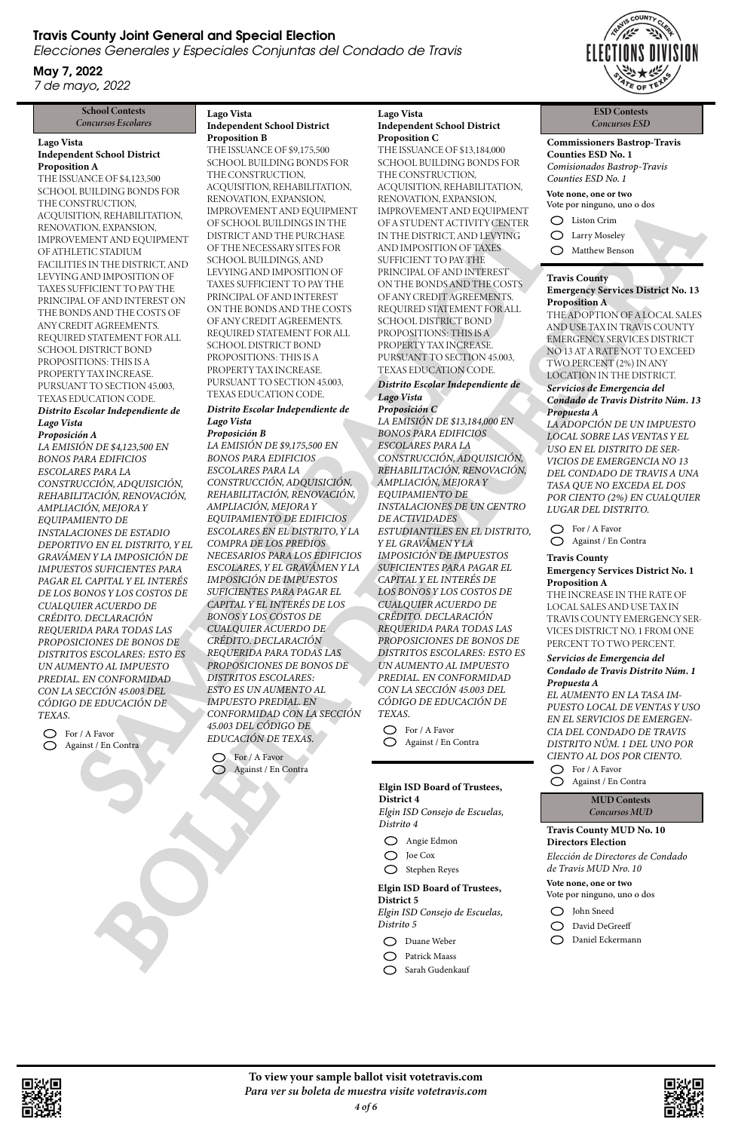# Travis County Joint General and Special Election

Elecciones Generales y Especiales Conjuntas del Condado de Travis

May 7, 2022 7 de mayo, 2022

#### Elgin ISD Board of Trustees, District 4 *Elgin ISD Consejo de Escuelas, Distrito 4*



- Angie Edmon
- O Joe Cox
- Stephen Reyes

Elgin ISD Board of Trustees, District 5 *Elgin ISD Consejo de Escuelas, Distrito 5*

- Duane Weber
- Patrick Maass
- Sarah Gudenkauf

School Contests

# *Concursos Escolares*

## Lago Vista Independent School District

Proposition A THE ISSUANCE OF \$4,123,500 SCHOOL BUILDING BONDS FOR THE CONSTRUCTION, ACQUISITION, REHABILITATION, RENOVATION, EXPANSION, IMPROVEMENT AND EQUIPMENT OF ATHLETIC STADIUM FACILITIES IN THE DISTRICT, AND LEVYING AND IMPOSITION OF TAXES SUFFICIENT TO PAY THE PRINCIPAL OF AND INTEREST ON THE BONDS AND THE COSTS OF ANY CREDIT AGREEMENTS. REQUIRED STATEMENT FOR ALL SCHOOL DISTRICT BOND PROPOSITIONS: THIS IS A PROPERTY TAX INCREASE. PURSUANT TO SECTION 45.003, TEXAS EDUCATION CODE.

#### *Distrito Escolar Independiente de Lago Vista*

#### *Proposición A*

*LA EMISIÓN DE \$9,175,500 EN BONOS PARA EDIFICIOS ESCOLARES PARA LA CONSTRUCCIÓN, ADQUISICIÓN, REHABILITACIÓN, RENOVACIÓN, AMPLIACIÓN, MEJORA Y EQUIPAMIENTO DE EDIFICIOS ESCOLARES EN EL DISTRITO, Y LA COMPRA DE LOS PREDIOS NECESARIOS PARA LOS EDIFICIOS ESCOLARES, Y EL GRAVÁMEN Y LA IMPOSICIÓN DE IMPUESTOS SUFICIENTES PARA PAGAR EL CAPITAL Y EL INTERÉS DE LOS BONOS Y LOS COSTOS DE CUALQUIER ACUERDO DE CRÉDITO. DECLARACIÓN REQUERIDA PARA TODAS LAS PROPOSICIONES DE BONOS DE DISTRITOS ESCOLARES: ESTO ES UN AUMENTO AL IMPUESTO PREDIAL. EN CONFORMIDAD CON LA SECCIÓN 45.003 DEL CÓDIGO DE EDUCACIÓN DE TEXAS.* ION ENTRANSION of STELLAR OVACIONAL STREET CONDUCTION (STELLAR OVACUOUS ENTRANSION CONDUCTION CONDUCTION CONDUCTION (STELLAR OVACUOUS ENTRANSION CONDUCTION CONDUCTION (STELLAR OVACUOUS ENTRANSION CONDUCTION CONDUCTION (ST **EXAMPLE SE AN ENERGIA DE CARLO EN ENERGIA DE CARLO EN ENERGIA DE CARLO EN ENERGIA DE CARLO EN ENERGIA DE CARLO EN ENERGIA DE CARLO EN ENERGIA DE CARLO EN ENERGIA DE CARLO EN ENERGIA DE CARLO EN ENERGIA DE CARLO EN ENERGI** 

*LA EMISIÓN DE \$4,123,500 EN BONOS PARA EDIFICIOS ESCOLARES PARA LA CONSTRUCCIÓN, ADQUISICIÓN, REHABILITACIÓN, RENOVACIÓN, AMPLIACIÓN, MEJORA Y EQUIPAMIENTO DE INSTALACIONES DE ESTADIO DEPORTIVO EN EL DISTRITO, Y EL GRAVÁMEN Y LA IMPOSICIÓN DE IMPUESTOS SUFICIENTES PARA PAGAR EL CAPITAL Y EL INTERÉS DE LOS BONOS Y LOS COSTOS DE CUALQUIER ACUERDO DE CRÉDITO. DECLARACIÓN REQUERIDA PARA TODAS LAS PROPOSICIONES DE BONOS DE DISTRITOS ESCOLARES: ESTO ES UN AUMENTO AL IMPUESTO PREDIAL. EN CONFORMIDAD CON LA SECCIÓN 45.003 DEL CÓDIGO DE EDUCACIÓN DE TEXAS.*

For / A Favor Against / En Contra

#### Lago Vista Independent School District Proposition B

THE ISSUANCE OF \$9,175,500 SCHOOL BUILDING BONDS FOR THE CONSTRUCTION, ACQUISITION, REHABILITATION, RENOVATION, EXPANSION, IMPROVEMENT AND EQUIPMENT OF SCHOOL BUILDINGS IN THE DISTRICT AND THE PURCHASE OF THE NECESSARY SITES FOR SCHOOL BUILDINGS, AND LEVYING AND IMPOSITION OF TAXES SUFFICIENT TO PAY THE PRINCIPAL OF AND INTEREST ON THE BONDS AND THE COSTS OF ANY CREDIT AGREEMENTS. REQUIRED STATEMENT FOR ALL SCHOOL DISTRICT BOND PROPOSITIONS: THIS IS A PROPERTY TAX INCREASE. PURSUANT TO SECTION 45.003, TEXAS EDUCATION CODE.

#### *Distrito Escolar Independiente de Lago Vista*

#### *Proposición B*

For / A Favor Against / En Contra

#### Lago Vista Independent School District Proposition C

THE ISSUANCE OF \$13,184,000 SCHOOL BUILDING BONDS FOR THE CONSTRUCTION, ACQUISITION, REHABILITATION, RENOVATION, EXPANSION, IMPROVEMENT AND EQUIPMENT OF A STUDENT ACTIVITY CENTER IN THE DISTRICT, AND LEVYING AND IMPOSITION OF TAXES SUFFICIENT TO PAY THE PRINCIPAL OF AND INTEREST ON THE BONDS AND THE COSTS OF ANY CREDIT AGREEMENTS. REQUIRED STATEMENT FOR ALL SCHOOL DISTRICT BOND PROPOSITIONS: THIS IS A PROPERTY TAX INCREASE. PURSUANT TO SECTION 45.003, TEXAS EDUCATION CODE.

#### *Distrito Escolar Independiente de Lago Vista*

#### *Proposición C*

*LA EMISIÓN DE \$13,184,000 EN BONOS PARA EDIFICIOS ESCOLARES PARA LA CONSTRUCCIÓN, ADQUISICIÓN, REHABILITACIÓN, RENOVACIÓN, AMPLIACIÓN, MEJORA Y EQUIPAMIENTO DE INSTALACIONES DE UN CENTRO DE ACTIVIDADES ESTUDIANTILES EN EL DISTRITO, Y EL GRAVÁMEN Y LA IMPOSICIÓN DE IMPUESTOS SUFICIENTES PARA PAGAR EL CAPITAL Y EL INTERÉS DE LOS BONOS Y LOS COSTOS DE CUALQUIER ACUERDO DE CRÉDITO. DECLARACIÓN REQUERIDA PARA TODAS LAS PROPOSICIONES DE BONOS DE DISTRITOS ESCOLARES: ESTO ES UN AUMENTO AL IMPUESTO PREDIAL. EN CONFORMIDAD CON LA SECCIÓN 45.003 DEL CÓDIGO DE EDUCACIÓN DE TEXAS.*

For / A Favor

Against / En Contra

ESD Contests *Concursos ESD*

Commissioners Bastrop-Travis Counties ESD No. 1 *Comisionados Bastrop-Travis Counties ESD No. 1*

Liston Crim

Vote none, one or two Vote por ninguno, uno o dos

- Larry Moseley
- Matthew Benson

#### Travis County

#### Emergency Services District No. 1 Proposition A

THE INCREASE IN THE RATE OF LOCAL SALES AND USE TAX IN TRAVIS COUNTY EMERGENCY SER-VICES DISTRICT NO. 1 FROM ONE PERCENT TO TWO PERCENT.

#### *Servicios de Emergencia del Condado de Travis Distrito Núm. 1 Propuesta A*

*EL AUMENTO EN LA TASA IM-PUESTO LOCAL DE VENTAS Y USO EN EL SERVICIOS DE EMERGEN-CIA DEL CONDADO DE TRAVIS DISTRITO NÚM. 1 DEL UNO POR CIENTO AL DOS POR CIENTO.*

For / A Favor

Against / En Contra

#### Travis County

Emergency Services District No. 13 Proposition A THE ADOPTION OF A LOCAL SALES AND USE TAX IN TRAVIS COUNTY EMERGENCY SERVICES DISTRICT NO 13 AT A RATE NOT TO EXCEED TWO PERCENT (2%) IN ANY LOCATION IN THE DISTRICT. *Servicios de Emergencia del Condado de Travis Distrito Núm. 13 Propuesta A*

*LA ADOPCIÓN DE UN IMPUESTO LOCAL SOBRE LAS VENTAS Y EL USO EN EL DISTRITO DE SER-VICIOS DE EMERGENCIA NO 13 DEL CONDADO DE TRAVIS A UNA TASA QUE NO EXCEDA EL DOS POR CIENTO (2%) EN CUALQUIER LUGAR DEL DISTRITO.*

For / A Favor Against / En Contra

> MUD Contests *Concursos MUD*

Travis County MUD No. 10 Directors Election



*Elección de Directores de Condado de Travis MUD Nro. 10*

To view your sample ballot visit votetravis.com *Para ver su boleta de muestra visite votetravis.com*



Vote none, one or two Vote por ninguno, uno o dos

- John Sneed
- David DeGreeff
- Daniel Eckermann

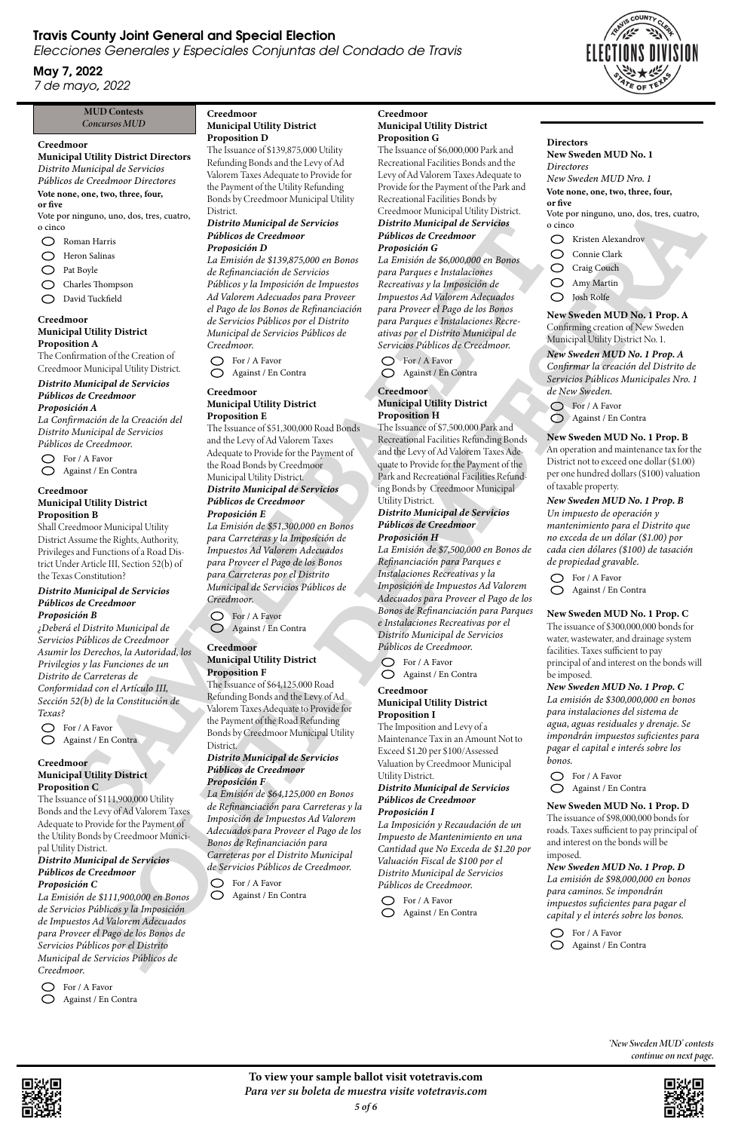To view your sample ballot visit votetravis.com *Para ver su boleta de muestra visite votetravis.com*

*5 of 6*



# Travis County Joint General and Special Election

Elecciones Generales y Especiales Conjuntas del Condado de Travis

# May 7, 2022

7 de mayo, 2022

#### MUD Contests *Concursos MUD*

#### Creedmoor

#### Municipal Utility District Proposition A

- Roman Harris
- Heron Salinas  $\bigcirc$
- Pat Boyle  $\bigcirc$

The Confirmation of the Creation of Creedmoor Municipal Utility District.

 $\bigcirc$ Charles Thompson

David Tuckfield  $\bigcirc$ 

## *Distrito Municipal de Servicios Públicos de Creedmoor*

*Proposición A La Confirmación de la Creación del*

*Distrito Municipal de Servicios Públicos de Creedmoor.*



#### Creedmoor

Municipal Utility District Directors

*Distrito Municipal de Servicios Públicos de Creedmoor Directores*

 $\bigcirc$  For / A Favor Against / En Contra

#### Vote none, one, two, three, four,

or five Vote por ninguno, uno, dos, tres, cuatro, o cinco

#### Creedmoor Municipal Utility District Proposition B

Shall Creedmoor Municipal Utility District Assume the Rights, Authority, Privileges and Functions of a Road District Under Article III, Section 52(b) of the Texas Constitution?

# *Distrito Municipal de Servicios Públicos de Creedmoor*

*Proposición B*

*¿Deberá el Distrito Municipal de Servicios Públicos de Creedmoor Asumir los Derechos, la Autoridad, los Privilegios y las Funciones de un Distrito de Carreteras de Conformidad con el Artículo III, Sección 52(b) de la Constitución de Texas?*

 $\bigcap$  For / A Favor Against / En Contra

#### Creedmoor Municipal Utility District Proposition C

The Issuance of \$111,900,000 Utility Bonds and the Levy of Ad Valorem Taxes Adequate to Provide for the Payment of

the Utility Bonds by Creedmoor Municipal Utility District. *Distrito Municipal de Servicios Públicos de Creedmoor Proposición C*

*La Emisión de \$111,900,000 en Bonos de Servicios Públicos y la Imposición de Impuestos Ad Valorem Adecuados para Proveer el Pago de los Bonos de Servicios Públicos por el Distrito Municipal de Servicios Públicos de Creedmoor.*



#### Creedmoor Municipal Utility District Proposition D

The Issuance of \$139,875,000 Utility Refunding Bonds and the Levy of Ad Valorem Taxes Adequate to Provide for the Payment of the Utility Refunding Bonds by Creedmoor Municipal Utility District.

#### *Distrito Municipal de Servicios Públicos de Creedmoor Proposición D*

*La Emisión de \$7,500,000 en Bonos de Refinanciación para Parques e Instalaciones Recreativas y la Imposición de Impuestos Ad Valorem Adecuados para Proveer el Pago de los Bonos de Refinanciación para Parques e Instalaciones Recreativas por el Distrito Municipal de Servicios Públicos de Creedmoor.* man iteriar **Photo Mark plant is expected by the continuous continuous continuous continuous continuous continuous continuous continuous continuous continuous continuous continuous continuous continuous continuous continu** IN COMPARIME COMPARIME COMPARIME COMPARIMENT (ECONOMIC COMPARIMENT COMPARIMENT COMPARIMENT (COMPARIMENT COMPARIMENT COMPARIMENT COMPARIMENT (COMPARIMENT COMPARIMENT COMPARIMENT COMPARIMENT (COMPARIMENT COMPARIMENT) COMPAR

*La Emisión de \$139,875,000 en Bonos de Refinanciación de Servicios Públicos y la Imposición de Impuestos Ad Valorem Adecuados para Proveer el Pago de los Bonos de Refinanciación de Servicios Públicos por el Distrito Municipal de Servicios Públicos de Creedmoor.*

#### Creedmoor Municipal Utility District Proposition E

The Issuance of \$51,300,000 Road Bonds and the Levy of Ad Valorem Taxes Adequate to Provide for the Payment of the Road Bonds by Creedmoor Municipal Utility District. *Distrito Municipal de Servicios Públicos de Creedmoor*

#### *Proposición E La Emisión de \$51,300,000 en Bonos para Carreteras y la Imposición de Impuestos Ad Valorem Adecuados para Proveer el Pago de los Bonos para Carreteras por el Distrito*

*Municipal de Servicios Públicos de* 

*Creedmoor.* For / A Favor

Against / En Contra

#### Creedmoor Municipal Utility District

# Proposition F

The Issuance of \$64,125,000 Road Refunding Bonds and the Levy of Ad Valorem Taxes Adequate to Provide for the Payment of the Road Refunding Bonds by Creedmoor Municipal Utility District.

#### *Distrito Municipal de Servicios Públicos de Creedmoor Proposición F*

*La Emisión de \$64,125,000 en Bonos de Refinanciación para Carreteras y la Imposición de Impuestos Ad Valorem Adecuados para Proveer el Pago de los Bonos de Refinanciación para Carreteras por el Distrito Municipal de Servicios Públicos de Creedmoor.*

For / A Favor Against / En Contra

#### Creedmoor Municipal Utility District Proposition G

The Issuance of \$6,000,000 Park and Recreational Facilities Bonds and the Levy of Ad Valorem Taxes Adequate to Provide for the Payment of the Park and Recreational Facilities Bonds by Creedmoor Municipal Utility District. *Distrito Municipal de Servicios Públicos de Creedmoor Proposición G*

*La Emisión de \$6,000,000 en Bonos para Parques e Instalaciones Recreativas y la Imposición de Impuestos Ad Valorem Adecuados para Proveer el Pago de los Bonos para Parques e Instalaciones Recreativas por el Distrito Municipal de Servicios Públicos de Creedmoor.*

|  |  | For / A Favor |  |
|--|--|---------------|--|
|  |  |               |  |

Against / En Contra

#### Creedmoor Municipal Utility District Proposition H

The Issuance of \$7,500,000 Park and Recreational Facilities Refunding Bonds and the Levy of Ad Valorem Taxes Adequate to Provide for the Payment of the Park and Recreational Facilities Refunding Bonds by Creedmoor Municipal Utility District.

#### *Distrito Municipal de Servicios Públicos de Creedmoor Proposición H*

For / A Favor Against / En Contra

#### Creedmoor Municipal Utility District Proposition I

The Imposition and Levy of a Maintenance Tax in an Amount Not to Exceed \$1.20 per \$100/Assessed Valuation by Creedmoor Municipal Utility District.

#### *Distrito Municipal de Servicios Públicos de Creedmoor Proposición I*

*La Imposición y Recaudación de un Impuesto de Mantenimiento en una Cantidad que No Exceda de \$1.20 por Valuación Fiscal de \$100 por el Distrito Municipal de Servicios Públicos de Creedmoor.*

## **Directors**

For / A Favor

Against / En Contra

New Sweden MUD No. 1 *Directores New Sweden MUD Nro. 1* Kristen Alexandrov Vote none, one, two, three, four, or five Vote por ninguno, uno, dos, tres, cuatro, o cinco

- Connie Clark
- Craig Couch
- Amy Martin
- Josh Rolfe

New Sweden MUD No. 1 Prop. A Confirming creation of New Sweden Municipal Utility District No. 1.

# *New Sweden MUD No. 1 Prop. A*

*Confirmar la creación del Distrito de Servicios Públicos Municipales Nro. 1 de New Sweden.*

- For / A Favor
- Against / En Contra

#### New Sweden MUD No. 1 Prop. B

An operation and maintenance tax for the District not to exceed one dollar (\$1.00) per one hundred dollars (\$100) valuation of taxable property.

#### *New Sweden MUD No. 1 Prop. B*

*Un impuesto de operación y mantenimiento para el Distrito que no exceda de un dólar (\$1.00) por cada cien dólares (\$100) de tasación de propiedad gravable.*

For / A Favor Against / En Contra

New Sweden MUD No. 1 Prop. C The issuance of \$300,000,000 bonds for water, wastewater, and drainage system facilities. Taxes sufficient to pay principal of and interest on the bonds will be imposed.

*New Sweden MUD No. 1 Prop. C La emisión de \$300,000,000 en bonos para instalaciones del sistema de agua, aguas residuales y drenaje. Se impondrán impuestos suficientes para pagar el capital e interés sobre los bonos.*

For / A Favor

Against / En Contra

#### New Sweden MUD No. 1 Prop. D

The issuance of \$98,000,000 bonds for roads. Taxes sufficient to pay principal of and interest on the bonds will be imposed.



*New Sweden MUD No. 1 Prop. D La emisión de \$98,000,000 en bonos para caminos. Se impondrán impuestos suficientes para pagar el capital y el interés sobre los bonos.*

For / A Favor Against / En Contra

> *'New Sweden MUD' contests continue on next page.*